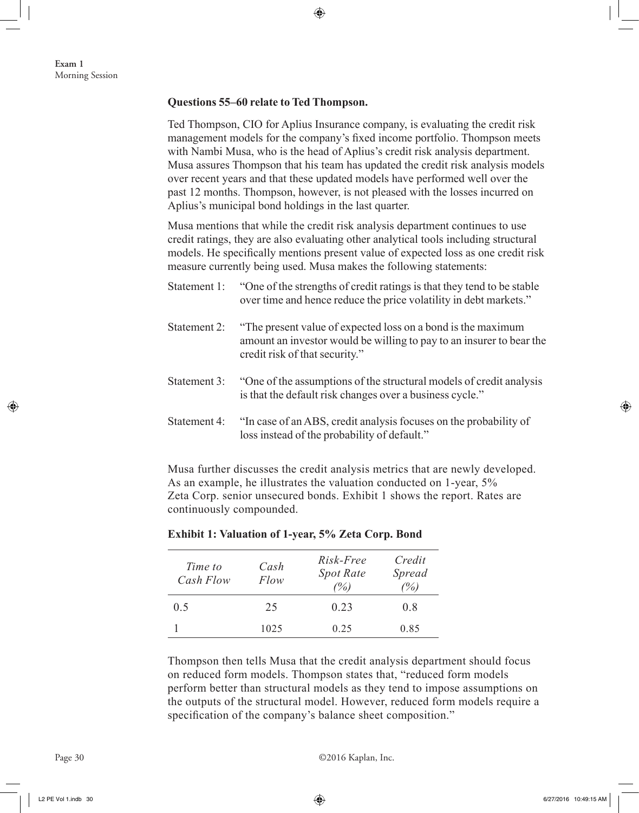## **Questions 55–60 relate to Ted Thompson.**

Ted Thompson, CIO for Aplius Insurance company, is evaluating the credit risk management models for the company's fixed income portfolio. Thompson meets with Nambi Musa, who is the head of Aplius's credit risk analysis department. Musa assures Thompson that his team has updated the credit risk analysis models over recent years and that these updated models have performed well over the past 12 months. Thompson, however, is not pleased with the losses incurred on Aplius's municipal bond holdings in the last quarter.

Musa mentions that while the credit risk analysis department continues to use credit ratings, they are also evaluating other analytical tools including structural models. He specifically mentions present value of expected loss as one credit risk measure currently being used. Musa makes the following statements:

- Statement 1: "One of the strengths of credit ratings is that they tend to be stable over time and hence reduce the price volatility in debt markets."
- Statement 2: "The present value of expected loss on a bond is the maximum amount an investor would be willing to pay to an insurer to bear the credit risk of that security."
- Statement 3: "One of the assumptions of the structural models of credit analysis is that the default risk changes over a business cycle."
- Statement 4: "In case of an ABS, credit analysis focuses on the probability of loss instead of the probability of default."

Musa further discusses the credit analysis metrics that are newly developed. As an example, he illustrates the valuation conducted on 1-year, 5% Zeta Corp. senior unsecured bonds. Exhibit 1 shows the report. Rates are continuously compounded.

| Time to<br>Cash Flow | Cash<br>Flow | Risk-Free<br><b>Spot Rate</b><br>$\frac{\gamma}{\gamma_0}$ | Credit<br><b>Spread</b><br>$\%$ ) |
|----------------------|--------------|------------------------------------------------------------|-----------------------------------|
| 0.5                  | 25           | 0.23                                                       | 08                                |
|                      | 1025         | 0.25                                                       | 0.85                              |

## **Exhibit 1: Valuation of 1-year, 5% Zeta Corp. Bond**

Thompson then tells Musa that the credit analysis department should focus on reduced form models. Thompson states that, "reduced form models perform better than structural models as they tend to impose assumptions on the outputs of the structural model. However, reduced form models require a specification of the company's balance sheet composition."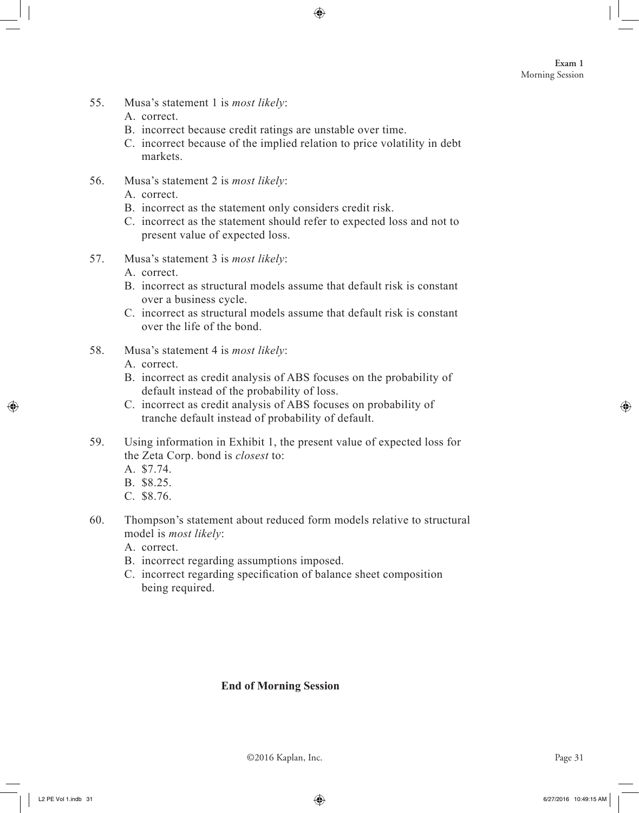- 55. Musa's statement 1 is *most likely*:
	- A. correct.
	- B. incorrect because credit ratings are unstable over time.
	- C. incorrect because of the implied relation to price volatility in debt markets.
- 56. Musa's statement 2 is *most likely*:
	- A. correct.
	- B. incorrect as the statement only considers credit risk.
	- C. incorrect as the statement should refer to expected loss and not to present value of expected loss.
- 57. Musa's statement 3 is *most likely*:
	- A. correct.
	- B. incorrect as structural models assume that default risk is constant over a business cycle.
	- C. incorrect as structural models assume that default risk is constant over the life of the bond.
- 58. Musa's statement 4 is *most likely*:
	- A. correct.
	- B. incorrect as credit analysis of ABS focuses on the probability of default instead of the probability of loss.
	- C. incorrect as credit analysis of ABS focuses on probability of tranche default instead of probability of default.
- 59. Using information in Exhibit 1, the present value of expected loss for the Zeta Corp. bond is *closest* to:
	- A. \$7.74.
	- B. \$8.25.
	- C. \$8.76.
- 60. Thompson's statement about reduced form models relative to structural model is *most likely*:
	- A. correct.
	- B. incorrect regarding assumptions imposed.
	- C. incorrect regarding specification of balance sheet composition being required.

## **End of Morning Session**